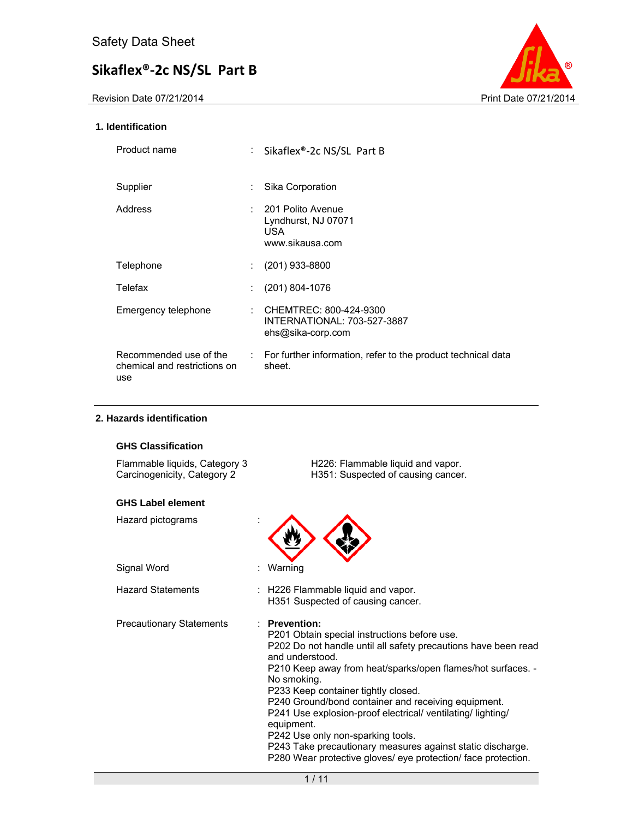Revision Date 07/21/2014 **Print Date 07/21/2014** 



### **1. Identification**

| Product name                                                  | ÷. | Sikaflex®-2c NS/SL Part B                                                    |
|---------------------------------------------------------------|----|------------------------------------------------------------------------------|
| Supplier                                                      |    | Sika Corporation                                                             |
| Address                                                       |    | $: 201$ Polito Avenue<br>Lyndhurst, NJ 07071<br>USA.<br>www.sikausa.com      |
| Telephone                                                     |    | $(201)$ 933-8800                                                             |
| Telefax                                                       |    | $(201) 804 - 1076$                                                           |
| Emergency telephone                                           |    | : CHEMTREC: 800-424-9300<br>INTERNATIONAL: 703-527-3887<br>ehs@sika-corp.com |
| Recommended use of the<br>chemical and restrictions on<br>use |    | : For further information, refer to the product technical data<br>sheet.     |

### **2. Hazards identification**

### **GHS Classification**

| Flammable liquids, Category 3 | H226: Flammable liquid and vapor.  |
|-------------------------------|------------------------------------|
| Carcinogenicity, Category 2   | H351: Suspected of causing cancer. |

### **GHS Label element**

| Hazard pictograms        |                                                                                                                                                                                                                                                                                                                                                                                                                                                                                                                                                                                           |  |
|--------------------------|-------------------------------------------------------------------------------------------------------------------------------------------------------------------------------------------------------------------------------------------------------------------------------------------------------------------------------------------------------------------------------------------------------------------------------------------------------------------------------------------------------------------------------------------------------------------------------------------|--|
| Signal Word              | Warning                                                                                                                                                                                                                                                                                                                                                                                                                                                                                                                                                                                   |  |
| <b>Hazard Statements</b> | : H226 Flammable liquid and vapor.<br>H351 Suspected of causing cancer.                                                                                                                                                                                                                                                                                                                                                                                                                                                                                                                   |  |
| Precautionary Statements | $\therefore$ Prevention:<br>P201 Obtain special instructions before use.<br>P202 Do not handle until all safety precautions have been read<br>and understood.<br>P210 Keep away from heat/sparks/open flames/hot surfaces. -<br>No smoking.<br>P233 Keep container tightly closed.<br>P240 Ground/bond container and receiving equipment.<br>P241 Use explosion-proof electrical/ ventilating/lighting/<br>equipment.<br>P242 Use only non-sparking tools.<br>P243 Take precautionary measures against static discharge.<br>P280 Wear protective gloves/ eye protection/ face protection. |  |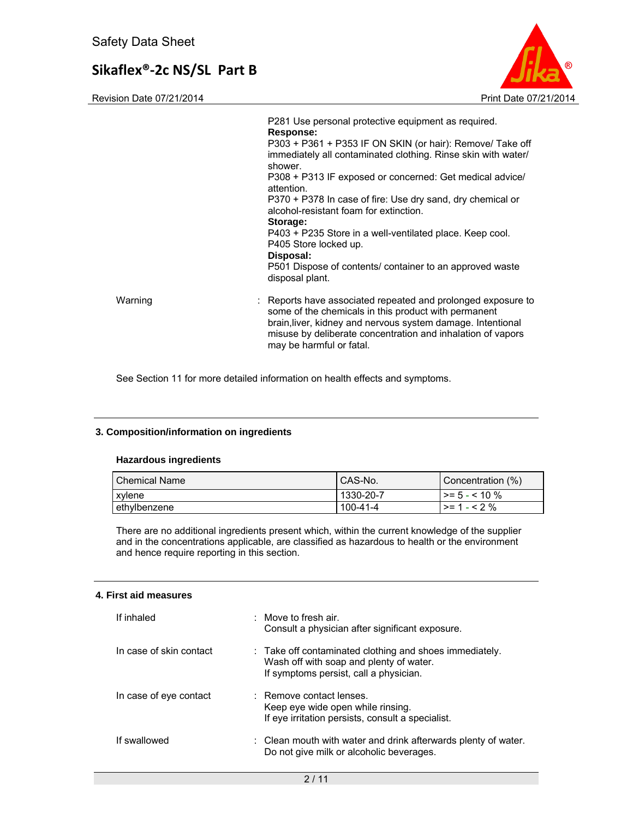Revision Date 07/21/2014 **Print Date 07/21/2014** Print Date 07/21/2014



|         | <b>Response:</b><br>P303 + P361 + P353 IF ON SKIN (or hair): Remove/ Take off<br>immediately all contaminated clothing. Rinse skin with water/<br>shower.<br>P308 + P313 IF exposed or concerned: Get medical advice/<br>attention.<br>P370 + P378 In case of fire: Use dry sand, dry chemical or<br>alcohol-resistant foam for extinction.<br>Storage:<br>P403 + P235 Store in a well-ventilated place. Keep cool.<br>P405 Store locked up.<br>Disposal:<br>P501 Dispose of contents/ container to an approved waste<br>disposal plant. |
|---------|------------------------------------------------------------------------------------------------------------------------------------------------------------------------------------------------------------------------------------------------------------------------------------------------------------------------------------------------------------------------------------------------------------------------------------------------------------------------------------------------------------------------------------------|
| Warning | : Reports have associated repeated and prolonged exposure to<br>some of the chemicals in this product with permanent<br>brain, liver, kidney and nervous system damage. Intentional<br>misuse by deliberate concentration and inhalation of vapors<br>may be harmful or fatal.                                                                                                                                                                                                                                                           |

See Section 11 for more detailed information on health effects and symptoms.

### **3. Composition/information on ingredients**

### **Hazardous ingredients**

| <b>Chemical Name</b> | <sup>1</sup> CAS-No. | Concentration (%)  |
|----------------------|----------------------|--------------------|
| xylene               | 1330-20-7            | $\ge$ = 5 - < 10 % |
| ethylbenzene         | 100-41-4             | $>= 1 - 52%$       |

There are no additional ingredients present which, within the current knowledge of the supplier and in the concentrations applicable, are classified as hazardous to health or the environment and hence require reporting in this section.

#### **4. First aid measures**

| If inhaled              | $\therefore$ Move to fresh air.<br>Consult a physician after significant exposure.                                                           |
|-------------------------|----------------------------------------------------------------------------------------------------------------------------------------------|
| In case of skin contact | : Take off contaminated clothing and shoes immediately.<br>Wash off with soap and plenty of water.<br>If symptoms persist, call a physician. |
| In case of eye contact  | : Remove contact lenses.<br>Keep eye wide open while rinsing.<br>If eye irritation persists, consult a specialist.                           |
| If swallowed            | : Clean mouth with water and drink afterwards plenty of water.<br>Do not give milk or alcoholic beverages.                                   |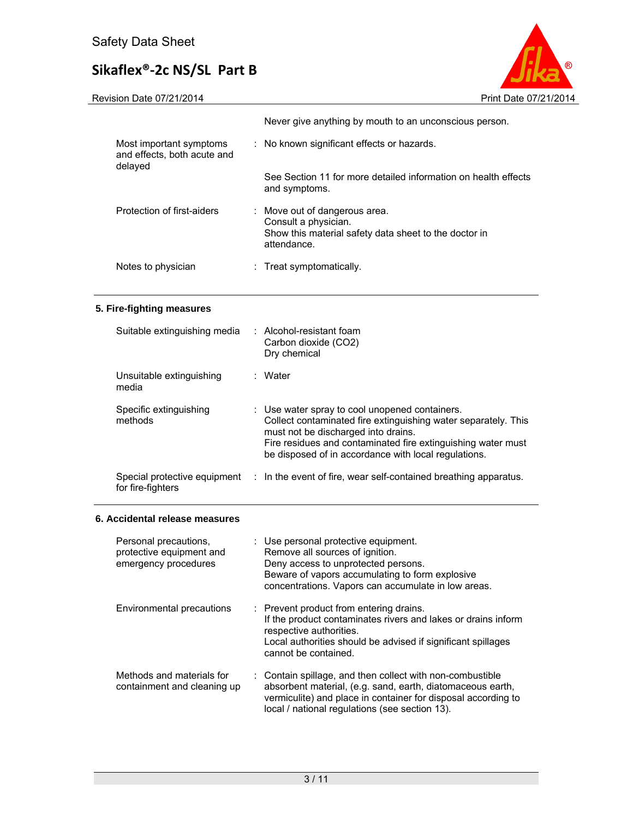Revision Date 07/21/2014 **Print Date 07/21/2014** 



|                                                                   | Never give anything by mouth to an unconscious person.                                                                        |
|-------------------------------------------------------------------|-------------------------------------------------------------------------------------------------------------------------------|
| Most important symptoms<br>and effects, both acute and<br>delayed | : No known significant effects or hazards.                                                                                    |
|                                                                   | See Section 11 for more detailed information on health effects<br>and symptoms.                                               |
| Protection of first-aiders                                        | : Move out of dangerous area.<br>Consult a physician.<br>Show this material safety data sheet to the doctor in<br>attendance. |
| Notes to physician                                                | $:$ Treat symptomatically.                                                                                                    |

### **5. Fire-fighting measures**

| Suitable extinguishing media                      | $\therefore$ Alcohol-resistant foam<br>Carbon dioxide (CO2)<br>Dry chemical                                                                                                                                                                                                     |
|---------------------------------------------------|---------------------------------------------------------------------------------------------------------------------------------------------------------------------------------------------------------------------------------------------------------------------------------|
| Unsuitable extinguishing<br>media                 | : Water                                                                                                                                                                                                                                                                         |
| Specific extinguishing<br>methods                 | : Use water spray to cool unopened containers.<br>Collect contaminated fire extinguishing water separately. This<br>must not be discharged into drains.<br>Fire residues and contaminated fire extinguishing water must<br>be disposed of in accordance with local regulations. |
| Special protective equipment<br>for fire-fighters | : In the event of fire, wear self-contained breathing apparatus.                                                                                                                                                                                                                |

### **6. Accidental release measures**

| Personal precautions.<br>protective equipment and<br>emergency procedures | : Use personal protective equipment.<br>Remove all sources of ignition.<br>Deny access to unprotected persons.<br>Beware of vapors accumulating to form explosive<br>concentrations. Vapors can accumulate in low areas.                   |
|---------------------------------------------------------------------------|--------------------------------------------------------------------------------------------------------------------------------------------------------------------------------------------------------------------------------------------|
| Environmental precautions                                                 | : Prevent product from entering drains.<br>If the product contaminates rivers and lakes or drains inform<br>respective authorities.<br>Local authorities should be advised if significant spillages<br>cannot be contained.                |
| Methods and materials for<br>containment and cleaning up                  | : Contain spillage, and then collect with non-combustible<br>absorbent material, (e.g. sand, earth, diatomaceous earth,<br>vermiculite) and place in container for disposal according to<br>local / national regulations (see section 13). |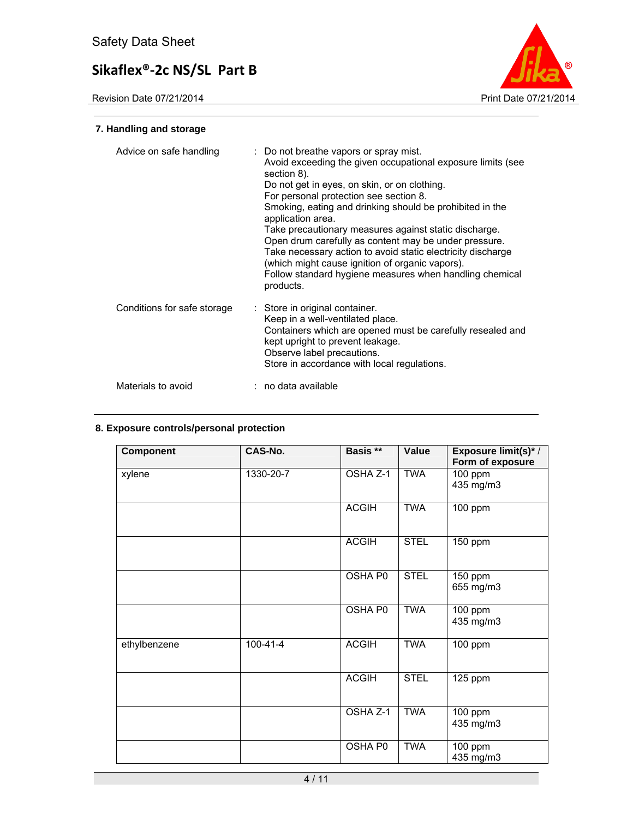

### **7. Handling and storage**

| Advice on safe handling     | : Do not breathe vapors or spray mist.<br>Avoid exceeding the given occupational exposure limits (see<br>section 8).<br>Do not get in eyes, on skin, or on clothing.<br>For personal protection see section 8.<br>Smoking, eating and drinking should be prohibited in the<br>application area.<br>Take precautionary measures against static discharge.<br>Open drum carefully as content may be under pressure.<br>Take necessary action to avoid static electricity discharge<br>(which might cause ignition of organic vapors).<br>Follow standard hygiene measures when handling chemical<br>products. |
|-----------------------------|-------------------------------------------------------------------------------------------------------------------------------------------------------------------------------------------------------------------------------------------------------------------------------------------------------------------------------------------------------------------------------------------------------------------------------------------------------------------------------------------------------------------------------------------------------------------------------------------------------------|
| Conditions for safe storage | : Store in original container.<br>Keep in a well-ventilated place.<br>Containers which are opened must be carefully resealed and<br>kept upright to prevent leakage.<br>Observe label precautions.<br>Store in accordance with local regulations.                                                                                                                                                                                                                                                                                                                                                           |
| Materials to avoid          | : no data available                                                                                                                                                                                                                                                                                                                                                                                                                                                                                                                                                                                         |

### **8. Exposure controls/personal protection**

| <b>Component</b> | CAS-No.        | Basis **       | Value       | <b>Exposure limit(s)*/</b><br>Form of exposure |
|------------------|----------------|----------------|-------------|------------------------------------------------|
| xylene           | 1330-20-7      | OSHA Z-1       | <b>TWA</b>  | 100 ppm<br>435 mg/m3                           |
|                  |                | <b>ACGIH</b>   | <b>TWA</b>  | 100 ppm                                        |
|                  |                | <b>ACGIH</b>   | <b>STEL</b> | 150 ppm                                        |
|                  |                | OSHA P0        | <b>STEL</b> | 150 ppm<br>655 mg/m3                           |
|                  |                | OSHA P0        | <b>TWA</b>  | $100$ ppm<br>435 mg/m3                         |
| ethylbenzene     | $100 - 41 - 4$ | <b>ACGIH</b>   | <b>TWA</b>  | 100 ppm                                        |
|                  |                | <b>ACGIH</b>   | <b>STEL</b> | 125 ppm                                        |
|                  |                | OSHA Z-1       | <b>TWA</b>  | $100$ ppm<br>435 mg/m3                         |
|                  |                | <b>OSHA P0</b> | <b>TWA</b>  | $100$ ppm<br>435 mg/m3                         |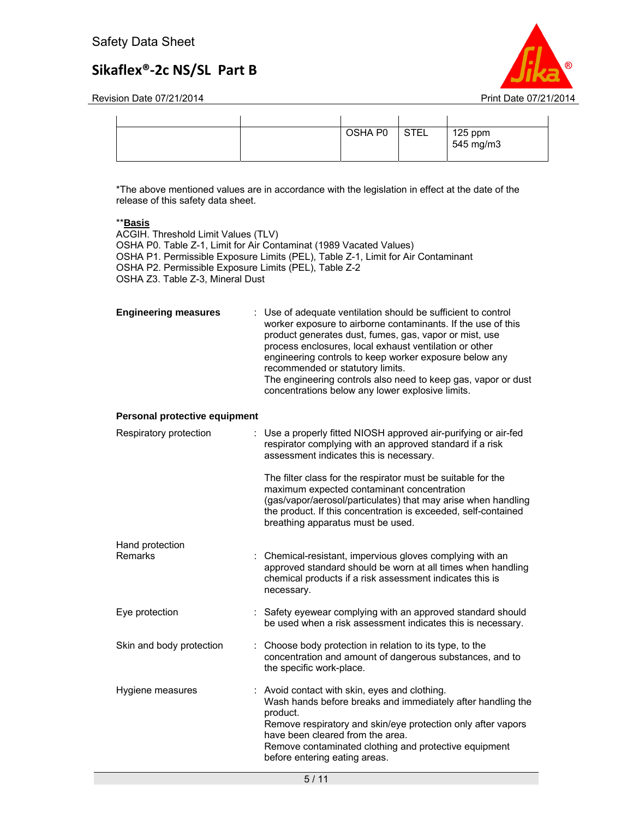

Revision Date 07/21/2014 **Print Date 07/21/2014** Print Date 07/21/2014

|  | OSHA P0 | <b>STEL</b> | 125 ppm   |
|--|---------|-------------|-----------|
|  |         |             | 545 mg/m3 |
|  |         |             |           |

\*The above mentioned values are in accordance with the legislation in effect at the date of the release of this safety data sheet.

### \*\***Basis**

ACGIH. Threshold Limit Values (TLV) OSHA P0. Table Z-1, Limit for Air Contaminat (1989 Vacated Values) OSHA P1. Permissible Exposure Limits (PEL), Table Z-1, Limit for Air Contaminant OSHA P2. Permissible Exposure Limits (PEL), Table Z-2 OSHA Z3. Table Z-3, Mineral Dust

| <b>Engineering measures</b> | : Use of adequate ventilation should be sufficient to control<br>worker exposure to airborne contaminants. If the use of this<br>product generates dust, fumes, gas, vapor or mist, use<br>process enclosures, local exhaust ventilation or other<br>engineering controls to keep worker exposure below any<br>recommended or statutory limits.<br>The engineering controls also need to keep gas, vapor or dust<br>concentrations below any lower explosive limits. |
|-----------------------------|----------------------------------------------------------------------------------------------------------------------------------------------------------------------------------------------------------------------------------------------------------------------------------------------------------------------------------------------------------------------------------------------------------------------------------------------------------------------|
|-----------------------------|----------------------------------------------------------------------------------------------------------------------------------------------------------------------------------------------------------------------------------------------------------------------------------------------------------------------------------------------------------------------------------------------------------------------------------------------------------------------|

### **Personal protective equipment**

| : Use a properly fitted NIOSH approved air-purifying or air-fed<br>respirator complying with an approved standard if a risk<br>assessment indicates this is necessary.                                                                                                                                                 |
|------------------------------------------------------------------------------------------------------------------------------------------------------------------------------------------------------------------------------------------------------------------------------------------------------------------------|
| The filter class for the respirator must be suitable for the<br>maximum expected contaminant concentration<br>(gas/vapor/aerosol/particulates) that may arise when handling<br>the product. If this concentration is exceeded, self-contained<br>breathing apparatus must be used.                                     |
|                                                                                                                                                                                                                                                                                                                        |
| : Chemical-resistant, impervious gloves complying with an<br>approved standard should be worn at all times when handling<br>chemical products if a risk assessment indicates this is<br>necessary.                                                                                                                     |
| : Safety eyewear complying with an approved standard should<br>be used when a risk assessment indicates this is necessary.                                                                                                                                                                                             |
| : Choose body protection in relation to its type, to the<br>concentration and amount of dangerous substances, and to<br>the specific work-place.                                                                                                                                                                       |
| : Avoid contact with skin, eyes and clothing.<br>Wash hands before breaks and immediately after handling the<br>product.<br>Remove respiratory and skin/eye protection only after vapors<br>have been cleared from the area.<br>Remove contaminated clothing and protective equipment<br>before entering eating areas. |
|                                                                                                                                                                                                                                                                                                                        |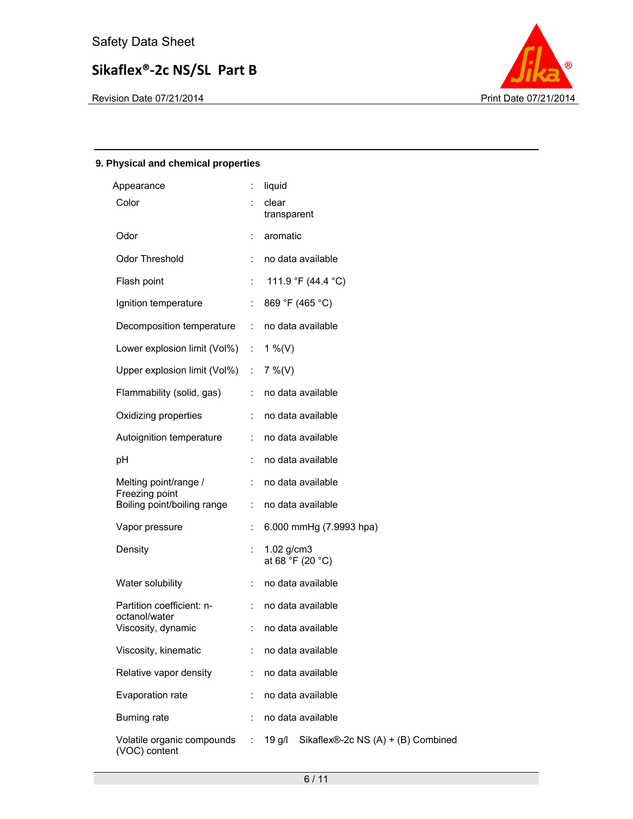

### **9. Physical and chemical properties**

| Appearance                                  |                             | liquid                                                      |
|---------------------------------------------|-----------------------------|-------------------------------------------------------------|
| Color                                       |                             | clear<br>transparent                                        |
| Odor                                        |                             | aromatic                                                    |
| Odor Threshold                              |                             | no data available                                           |
| Flash point                                 | ÷                           | 111.9 °F (44.4 °C)                                          |
| Ignition temperature                        |                             | 869 °F (465 °C)                                             |
| Decomposition temperature                   | ÷.                          | no data available                                           |
| Lower explosion limit (Vol%)                | $\mathcal{L}_{\mathcal{A}}$ | 1 %(V)                                                      |
| Upper explosion limit (Vol%) :              |                             | $7\%$ (V)                                                   |
| Flammability (solid, gas)                   |                             | no data available                                           |
| Oxidizing properties                        |                             | no data available                                           |
| Autoignition temperature                    | ÷.                          | no data available                                           |
| pH                                          |                             | no data available                                           |
| Melting point/range /<br>Freezing point     |                             | no data available                                           |
| Boiling point/boiling range                 |                             | no data available                                           |
| Vapor pressure                              |                             | 6.000 mmHg (7.9993 hpa)                                     |
| Density                                     | ÷                           | 1.02 g/cm3<br>at 68 °F (20 °C)                              |
| Water solubility                            | t.                          | no data available                                           |
| Partition coefficient: n-<br>octanol/water  |                             | no data available                                           |
| Viscosity, dynamic                          |                             | no data available                                           |
| Viscosity, kinematic                        |                             | no data available                                           |
| Relative vapor density                      |                             | no data available                                           |
| Evaporation rate                            |                             | no data available                                           |
| Burning rate                                |                             | no data available                                           |
| Volatile organic compounds<br>(VOC) content | ÷                           | Sikaflex $\mathbb{R}$ -2c NS (A) + (B) Combined<br>$19$ g/l |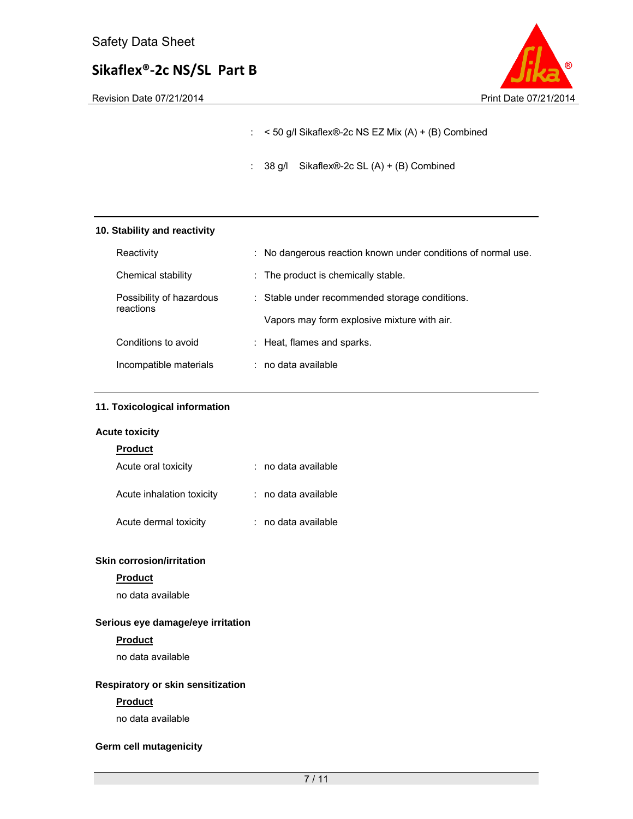

: < 50 g/l Sikaflex®-2c NS EZ Mix (A) + (B) Combined

: 38 g/l Sikaflex®-2c SL (A) + (B) Combined

### **10. Stability and reactivity**

| Reactivity                            | : No dangerous reaction known under conditions of normal use. |
|---------------------------------------|---------------------------------------------------------------|
| Chemical stability                    | : The product is chemically stable.                           |
| Possibility of hazardous<br>reactions | : Stable under recommended storage conditions.                |
|                                       | Vapors may form explosive mixture with air.                   |
| Conditions to avoid                   | : Heat, flames and sparks.                                    |
| Incompatible materials                | $:$ no data available                                         |

### **11. Toxicological information**

#### **Acute toxicity**

| <b>Product</b>            |                       |
|---------------------------|-----------------------|
| Acute oral toxicity       | $:$ no data available |
| Acute inhalation toxicity | : no data available   |

Acute dermal toxicity : no data available

### **Skin corrosion/irritation**

### **Product**

no data available

### **Serious eye damage/eye irritation**

### **Product**

no data available

### **Respiratory or skin sensitization**

### **Product**

no data available

### **Germ cell mutagenicity**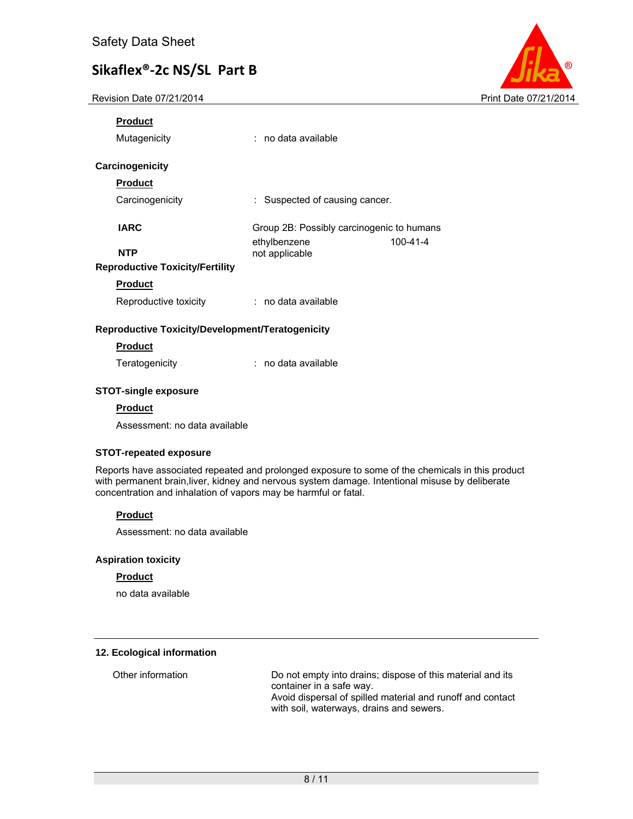Revision Date 07/21/2014 **Print Date 07/21/2014** Print Date 07/21/2014



# **Product**

Mutagenicity : no data available

### **Carcinogenicity**

### **Product**

Carcinogenicity : Suspected of causing cancer.

**IARC** Group 2B: Possibly carcinogenic to humans ethylbenzene 100-41-4 **NTP** not applicable

### **Reproductive Toxicity/Fertility**

**Product** 

Reproductive toxicity : no data available

### **Reproductive Toxicity/Development/Teratogenicity**

### **Product**

Teratogenicity **interpretent in the Contract Contract Teratogenicity** in the data available

### **STOT-single exposure**

### **Product**

Assessment: no data available

### **STOT-repeated exposure**

Reports have associated repeated and prolonged exposure to some of the chemicals in this product with permanent brain,liver, kidney and nervous system damage. Intentional misuse by deliberate concentration and inhalation of vapors may be harmful or fatal.

### **Product**

Assessment: no data available

### **Aspiration toxicity**

### **Product**

no data available

### **12. Ecological information**

Other information Do not empty into drains; dispose of this material and its container in a safe way. Avoid dispersal of spilled material and runoff and contact with soil, waterways, drains and sewers.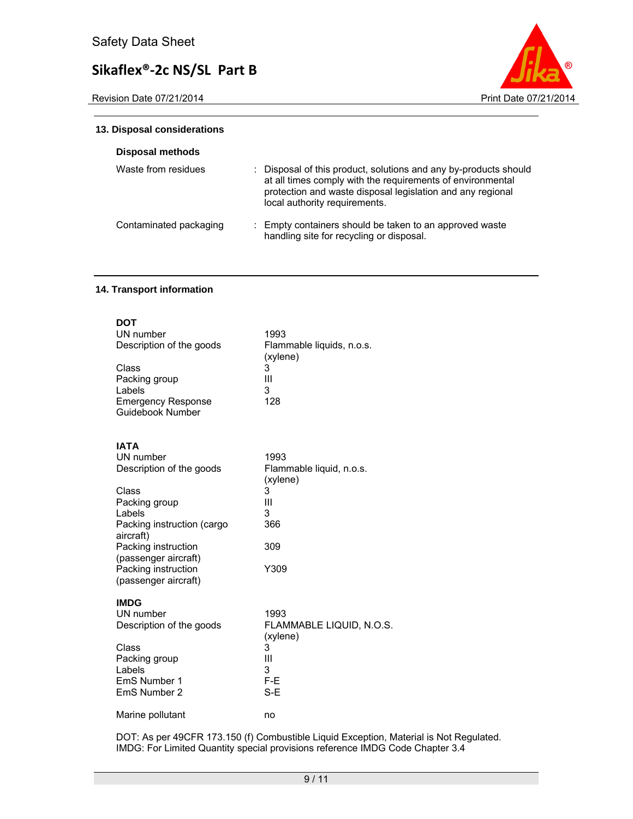Revision Date 07/21/2014 **Print Date 07/21/2014** Print Date 07/21/2014



### **13. Disposal considerations**

| Disposal methods       |                                                                                                                                                                                                                               |
|------------------------|-------------------------------------------------------------------------------------------------------------------------------------------------------------------------------------------------------------------------------|
| Waste from residues    | : Disposal of this product, solutions and any by-products should<br>at all times comply with the requirements of environmental<br>protection and waste disposal legislation and any regional<br>local authority requirements. |
| Contaminated packaging | : Empty containers should be taken to an approved waste<br>handling site for recycling or disposal.                                                                                                                           |

### **14. Transport information**

| <b>DOT</b><br>UN number<br>Description of the goods<br>Class<br>Packing group<br>Labels<br><b>Emergency Response</b><br>Guidebook Number                                                                                          | 1993<br>Flammable liquids, n.o.s.<br>(xylene)<br>3<br>Ш<br>3<br>128               |
|-----------------------------------------------------------------------------------------------------------------------------------------------------------------------------------------------------------------------------------|-----------------------------------------------------------------------------------|
| <b>IATA</b><br>UN number<br>Description of the goods<br>Class<br>Packing group<br>Labels<br>Packing instruction (cargo<br>aircraft)<br>Packing instruction<br>(passenger aircraft)<br>Packing instruction<br>(passenger aircraft) | 1993<br>Flammable liquid, n.o.s.<br>(xylene)<br>3<br>Ш<br>3<br>366<br>309<br>Y309 |
| <b>IMDG</b><br>UN number<br>Description of the goods<br>Class<br>Packing group<br>Labels<br>EmS Number 1<br>EmS Number 2                                                                                                          | 1993<br>FLAMMABLE LIQUID, N.O.S.<br>(xylene)<br>3<br>Ш<br>3<br>F-E<br>S-E         |
| Marine pollutant                                                                                                                                                                                                                  | no                                                                                |

DOT: As per 49CFR 173.150 (f) Combustible Liquid Exception, Material is Not Regulated. IMDG: For Limited Quantity special provisions reference IMDG Code Chapter 3.4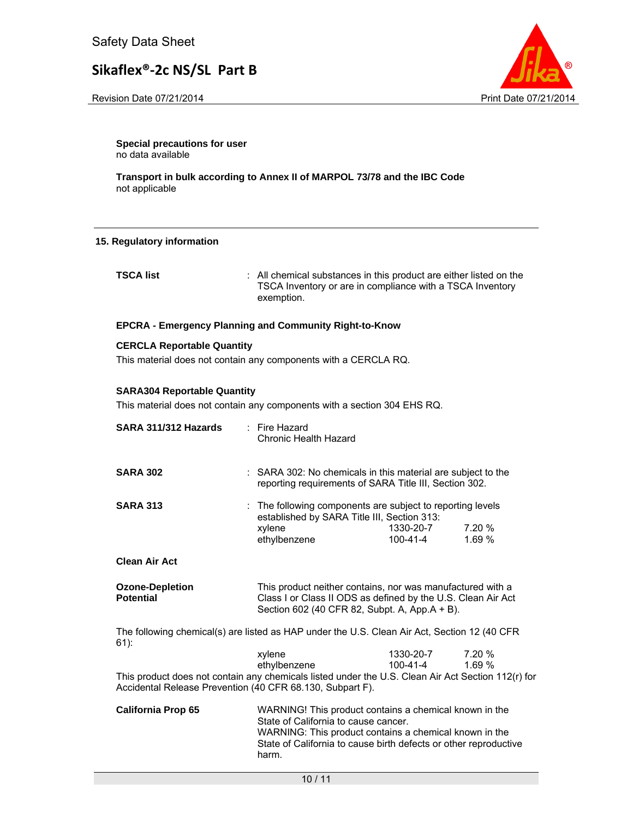Revision Date 07/21/2014 **Print Date 07/21/2014** 



**Special precautions for user** no data available

**Transport in bulk according to Annex II of MARPOL 73/78 and the IBC Code**  not applicable

#### **15. Regulatory information**

**TSCA list** : All chemical substances in this product are either listed on the TSCA Inventory or are in compliance with a TSCA Inventory exemption.

### **EPCRA - Emergency Planning and Community Right-to-Know**

#### **CERCLA Reportable Quantity**

This material does not contain any components with a CERCLA RQ.

### **SARA304 Reportable Quantity**

This material does not contain any components with a section 304 EHS RQ.

| SARA 311/312 Hazards                                                                                   | $\therefore$ Fire Hazard<br>Chronic Health Hazard                                                                                                                           |                              |                 |
|--------------------------------------------------------------------------------------------------------|-----------------------------------------------------------------------------------------------------------------------------------------------------------------------------|------------------------------|-----------------|
| <b>SARA 302</b>                                                                                        | : SARA 302: No chemicals in this material are subject to the<br>reporting requirements of SARA Title III, Section 302.                                                      |                              |                 |
| <b>SARA 313</b>                                                                                        | : The following components are subject to reporting levels<br>established by SARA Title III, Section 313:<br>xylene<br>ethylbenzene                                         | 1330-20-7<br>100-41-4        | 7.20 %<br>1.69% |
| <b>Clean Air Act</b>                                                                                   |                                                                                                                                                                             |                              |                 |
| <b>Ozone-Depletion</b><br><b>Potential</b>                                                             | This product neither contains, nor was manufactured with a<br>Class I or Class II ODS as defined by the U.S. Clean Air Act<br>Section 602 (40 CFR 82, Subpt. A, App.A + B). |                              |                 |
| The following chemical(s) are listed as HAP under the U.S. Clean Air Act, Section 12 (40 CFR<br>$61$ : |                                                                                                                                                                             |                              |                 |
|                                                                                                        | xylene                                                                                                                                                                      | 1330-20-7 7.20 %<br>100-41-4 |                 |
| This product does not contain any chemicals listed under the U.S. Clean Air Act Section 112(r) for     | ethylbenzene                                                                                                                                                                |                              | 1.69%           |
| Accidental Release Prevention (40 CFR 68.130, Subpart F).                                              |                                                                                                                                                                             |                              |                 |